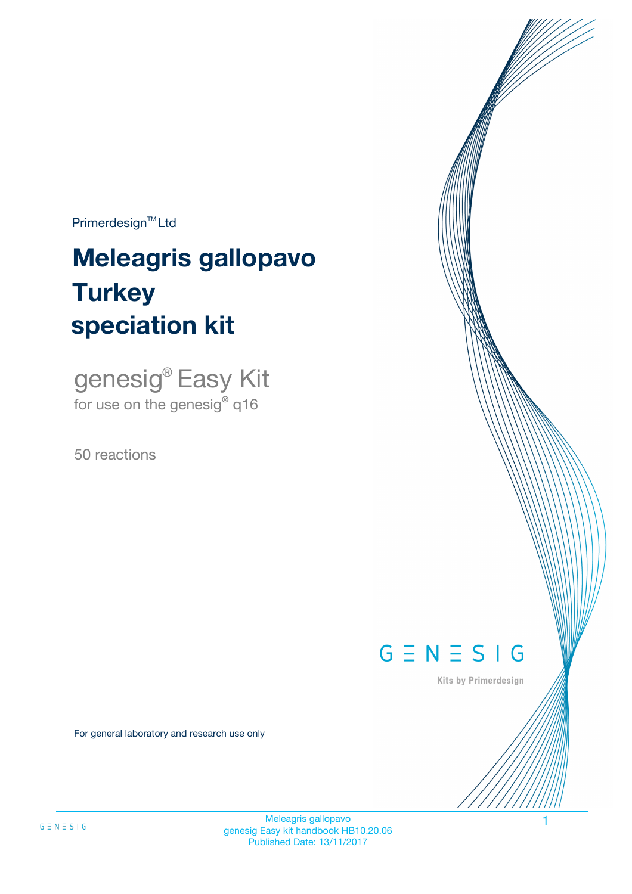$Primerdesign^{\text{TM}}Ltd$ 

# **Meleagris gallopavo speciation kit Turkey**

genesig® Easy Kit for use on the genesig**®** q16

50 reactions



Kits by Primerdesign

For general laboratory and research use only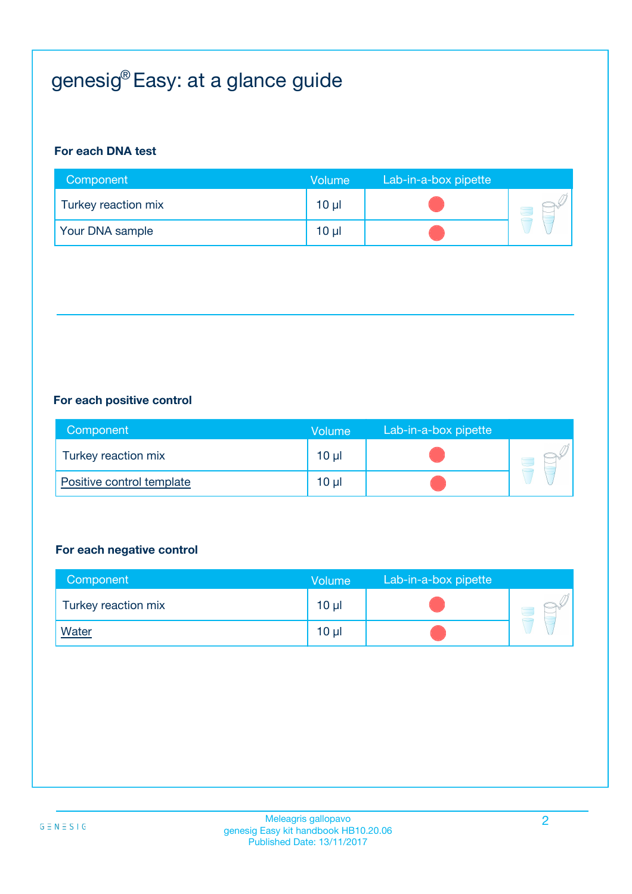# genesig® Easy: at a glance guide

#### **For each DNA test**

| Component           | <b>Volume</b>   | Lab-in-a-box pipette |  |
|---------------------|-----------------|----------------------|--|
| Turkey reaction mix | $10 \mu$        |                      |  |
| Your DNA sample     | 10 <sub>µ</sub> |                      |  |

#### **For each positive control**

| Component                 | <b>Volume</b> | Lab-in-a-box pipette |  |
|---------------------------|---------------|----------------------|--|
| Turkey reaction mix       | 10 µl         |                      |  |
| Positive control template | 10 µl         |                      |  |

#### **For each negative control**

| Component           | <b>Volume</b> | Lab-in-a-box pipette |  |
|---------------------|---------------|----------------------|--|
| Turkey reaction mix | $10 \mu$      |                      |  |
| <b>Water</b>        | $10 \mu$      |                      |  |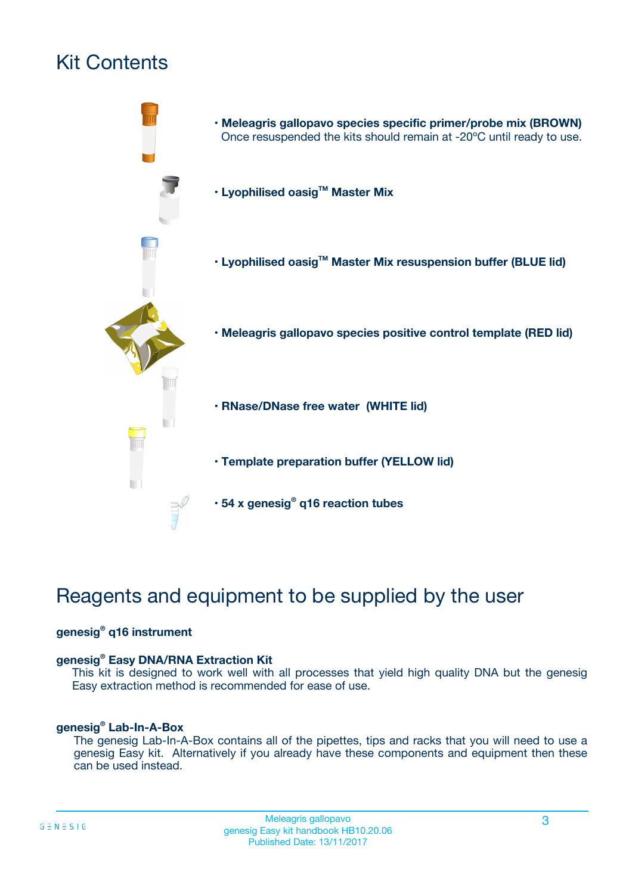# Kit Contents



# Reagents and equipment to be supplied by the user

#### **genesig® q16 instrument**

#### **genesig® Easy DNA/RNA Extraction Kit**

This kit is designed to work well with all processes that yield high quality DNA but the genesig Easy extraction method is recommended for ease of use.

#### **genesig® Lab-In-A-Box**

The genesig Lab-In-A-Box contains all of the pipettes, tips and racks that you will need to use a genesig Easy kit. Alternatively if you already have these components and equipment then these can be used instead.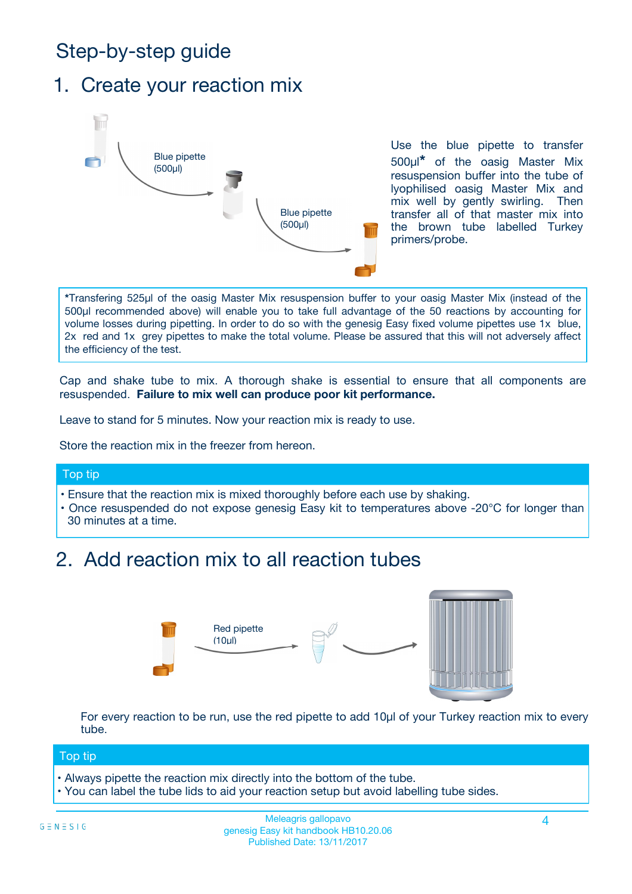# Step-by-step guide

### 1. Create your reaction mix



Use the blue pipette to transfer 500µl**\*** of the oasig Master Mix resuspension buffer into the tube of lyophilised oasig Master Mix and mix well by gently swirling. Then transfer all of that master mix into the brown tube labelled Turkey primers/probe.

**\***Transfering 525µl of the oasig Master Mix resuspension buffer to your oasig Master Mix (instead of the 500µl recommended above) will enable you to take full advantage of the 50 reactions by accounting for volume losses during pipetting. In order to do so with the genesig Easy fixed volume pipettes use 1x blue, 2x red and 1x grey pipettes to make the total volume. Please be assured that this will not adversely affect the efficiency of the test.

Cap and shake tube to mix. A thorough shake is essential to ensure that all components are resuspended. **Failure to mix well can produce poor kit performance.**

Leave to stand for 5 minutes. Now your reaction mix is ready to use.

Store the reaction mix in the freezer from hereon.

#### Top tip

- Ensure that the reaction mix is mixed thoroughly before each use by shaking.
- **•** Once resuspended do not expose genesig Easy kit to temperatures above -20°C for longer than 30 minutes at a time.

# 2. Add reaction mix to all reaction tubes



For every reaction to be run, use the red pipette to add 10µl of your Turkey reaction mix to every tube.

#### Top tip

- Always pipette the reaction mix directly into the bottom of the tube.
- You can label the tube lids to aid your reaction setup but avoid labelling tube sides.

#### Meleagris gallopavo 4 genesig Easy kit handbook HB10.20.06 Published Date: 13/11/2017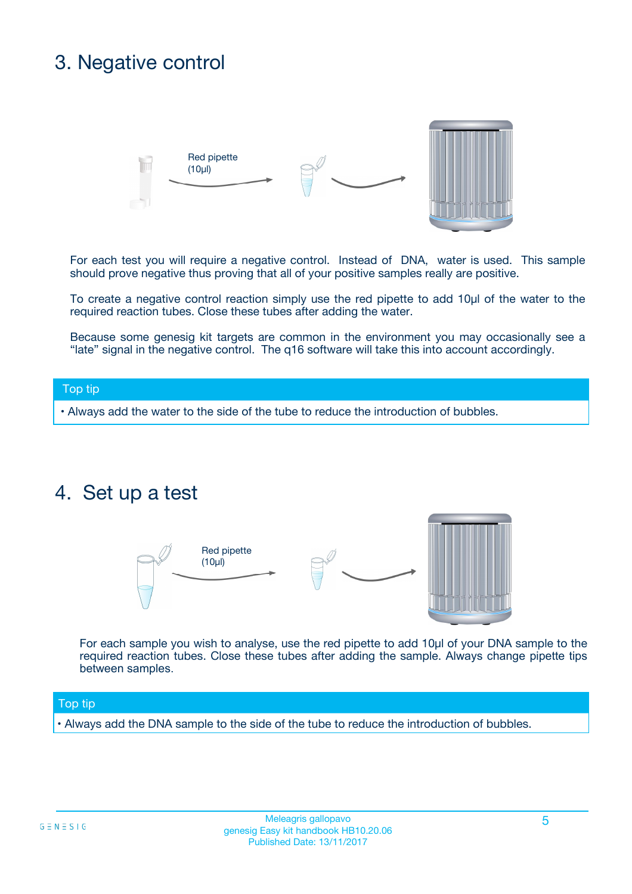### 3. Negative control



For each test you will require a negative control. Instead of DNA, water is used. This sample should prove negative thus proving that all of your positive samples really are positive.

To create a negative control reaction simply use the red pipette to add 10µl of the water to the required reaction tubes. Close these tubes after adding the water.

Because some genesig kit targets are common in the environment you may occasionally see a "late" signal in the negative control. The q16 software will take this into account accordingly.

#### Top tip

**•** Always add the water to the side of the tube to reduce the introduction of bubbles.

### 4. Set up a test



For each sample you wish to analyse, use the red pipette to add 10µl of your DNA sample to the required reaction tubes. Close these tubes after adding the sample. Always change pipette tips between samples.

#### Top tip

**•** Always add the DNA sample to the side of the tube to reduce the introduction of bubbles.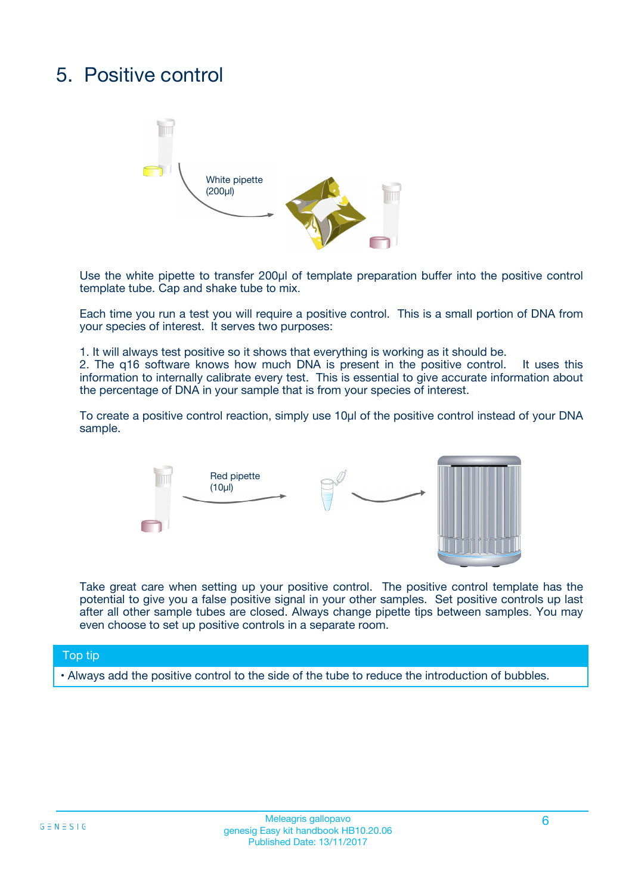# 5. Positive control



Use the white pipette to transfer 200µl of template preparation buffer into the positive control template tube. Cap and shake tube to mix.

Each time you run a test you will require a positive control. This is a small portion of DNA from your species of interest. It serves two purposes:

1. It will always test positive so it shows that everything is working as it should be.

2. The q16 software knows how much DNA is present in the positive control. It uses this information to internally calibrate every test. This is essential to give accurate information about the percentage of DNA in your sample that is from your species of interest.

To create a positive control reaction, simply use 10µl of the positive control instead of your DNA sample.



Take great care when setting up your positive control. The positive control template has the potential to give you a false positive signal in your other samples. Set positive controls up last after all other sample tubes are closed. Always change pipette tips between samples. You may even choose to set up positive controls in a separate room.

#### Top tip

**•** Always add the positive control to the side of the tube to reduce the introduction of bubbles.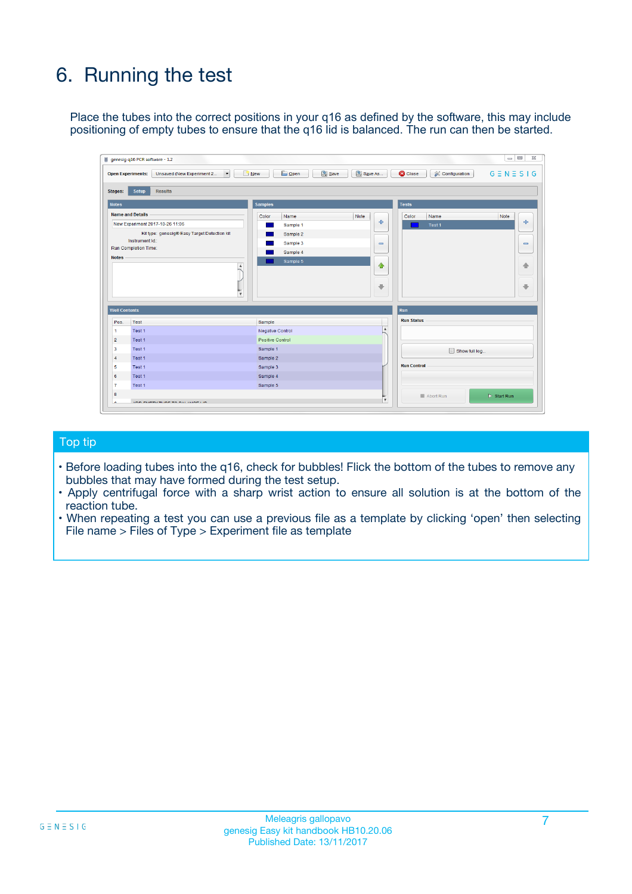# 6. Running the test

Place the tubes into the correct positions in your q16 as defined by the software, this may include positioning of empty tubes to ensure that the q16 lid is balanced. The run can then be started.

|                                    | genesig q16 PCR software - 1.2                                                    |                                     |                              |                                   | $\Box$<br>$\Sigma$           |
|------------------------------------|-----------------------------------------------------------------------------------|-------------------------------------|------------------------------|-----------------------------------|------------------------------|
|                                    | <b>Open Experiments:</b><br>Unsaved (New Experiment 2<br>$\overline{\phantom{a}}$ | <b>E</b> Open<br>Save<br>$\Box$ New | Save As                      | <b>C</b> Close<br>& Configuration | $G \equiv N \equiv S \mid G$ |
| Stages:                            | Setup<br><b>Results</b>                                                           |                                     |                              |                                   |                              |
| <b>Notes</b>                       |                                                                                   | <b>Samples</b>                      |                              | <b>Tests</b>                      |                              |
|                                    | <b>Name and Details</b>                                                           | Color<br>Name                       | Note                         | Color<br>Name                     | Note                         |
|                                    | New Experiment 2017-10-26 11:06                                                   | Sample 1                            | 유                            | Test <sub>1</sub>                 | ÷                            |
|                                    | Kit type: genesig® Easy Target Detection kit                                      | Sample 2                            |                              |                                   |                              |
|                                    | Instrument Id.:                                                                   | Sample 3                            | $\qquad \qquad \blacksquare$ |                                   | $\qquad \qquad \blacksquare$ |
|                                    | <b>Run Completion Time:</b>                                                       | Sample 4                            |                              |                                   |                              |
| <b>Notes</b>                       | $\blacktriangle$                                                                  | Sample 5                            | ♠<br>÷                       |                                   | 41<br>€                      |
| <b>Well Contents</b>               | $\overline{\mathbf{v}}$                                                           |                                     |                              | <b>Run</b>                        |                              |
| Pos.                               | <b>Test</b>                                                                       | Sample                              |                              | <b>Run Status</b>                 |                              |
| 1                                  | Test 1                                                                            | <b>Negative Control</b>             | $\blacktriangle$             |                                   |                              |
| $\overline{2}$                     | Test 1                                                                            | <b>Positive Control</b>             |                              |                                   |                              |
| 3                                  | Test 1                                                                            | Sample 1                            |                              | Show full log                     |                              |
|                                    | Test 1                                                                            | Sample 2                            |                              |                                   |                              |
|                                    |                                                                                   | Sample 3                            |                              | <b>Run Control</b>                |                              |
|                                    | Test 1                                                                            |                                     |                              |                                   |                              |
|                                    | Test 1                                                                            | Sample 4                            |                              |                                   |                              |
|                                    | Test 1                                                                            | Sample 5                            |                              |                                   |                              |
| 4<br>5<br>6<br>$\overline{7}$<br>8 |                                                                                   |                                     | $\overline{\mathbf{v}}$      | Abort Run                         | $\triangleright$ Start Run   |

#### Top tip

- Before loading tubes into the q16, check for bubbles! Flick the bottom of the tubes to remove any bubbles that may have formed during the test setup.
- Apply centrifugal force with a sharp wrist action to ensure all solution is at the bottom of the reaction tube.
- When repeating a test you can use a previous file as a template by clicking 'open' then selecting File name > Files of Type > Experiment file as template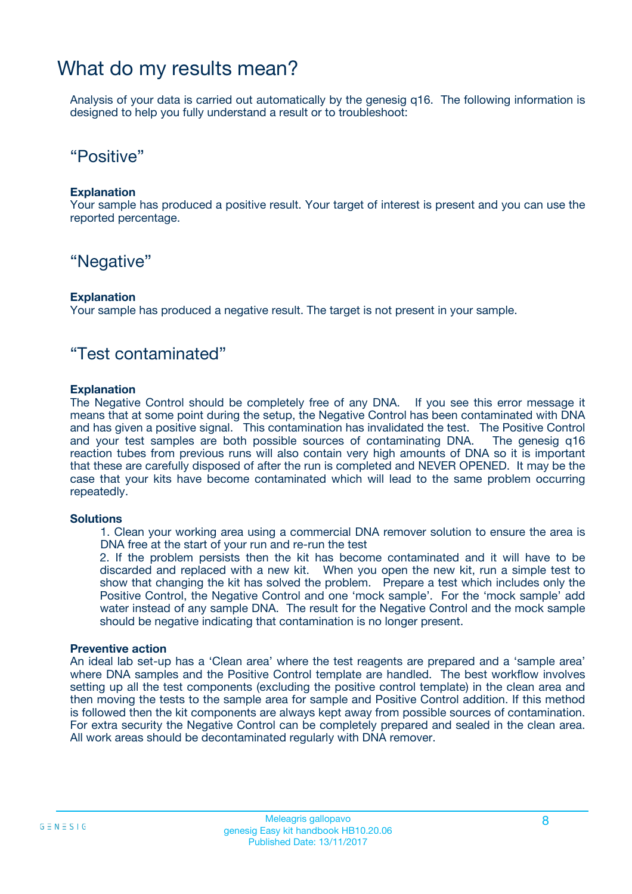### What do my results mean?

Analysis of your data is carried out automatically by the genesig q16. The following information is designed to help you fully understand a result or to troubleshoot:

### "Positive"

#### **Explanation**

Your sample has produced a positive result. Your target of interest is present and you can use the reported percentage.

### "Negative"

#### **Explanation**

Your sample has produced a negative result. The target is not present in your sample.

### "Test contaminated"

#### **Explanation**

The Negative Control should be completely free of any DNA. If you see this error message it means that at some point during the setup, the Negative Control has been contaminated with DNA and has given a positive signal. This contamination has invalidated the test. The Positive Control and your test samples are both possible sources of contaminating DNA. The genesig q16 reaction tubes from previous runs will also contain very high amounts of DNA so it is important that these are carefully disposed of after the run is completed and NEVER OPENED. It may be the case that your kits have become contaminated which will lead to the same problem occurring repeatedly.

#### **Solutions**

1. Clean your working area using a commercial DNA remover solution to ensure the area is DNA free at the start of your run and re-run the test

2. If the problem persists then the kit has become contaminated and it will have to be discarded and replaced with a new kit. When you open the new kit, run a simple test to show that changing the kit has solved the problem. Prepare a test which includes only the Positive Control, the Negative Control and one 'mock sample'. For the 'mock sample' add water instead of any sample DNA. The result for the Negative Control and the mock sample should be negative indicating that contamination is no longer present.

#### **Preventive action**

An ideal lab set-up has a 'Clean area' where the test reagents are prepared and a 'sample area' where DNA samples and the Positive Control template are handled. The best workflow involves setting up all the test components (excluding the positive control template) in the clean area and then moving the tests to the sample area for sample and Positive Control addition. If this method is followed then the kit components are always kept away from possible sources of contamination. For extra security the Negative Control can be completely prepared and sealed in the clean area. All work areas should be decontaminated regularly with DNA remover.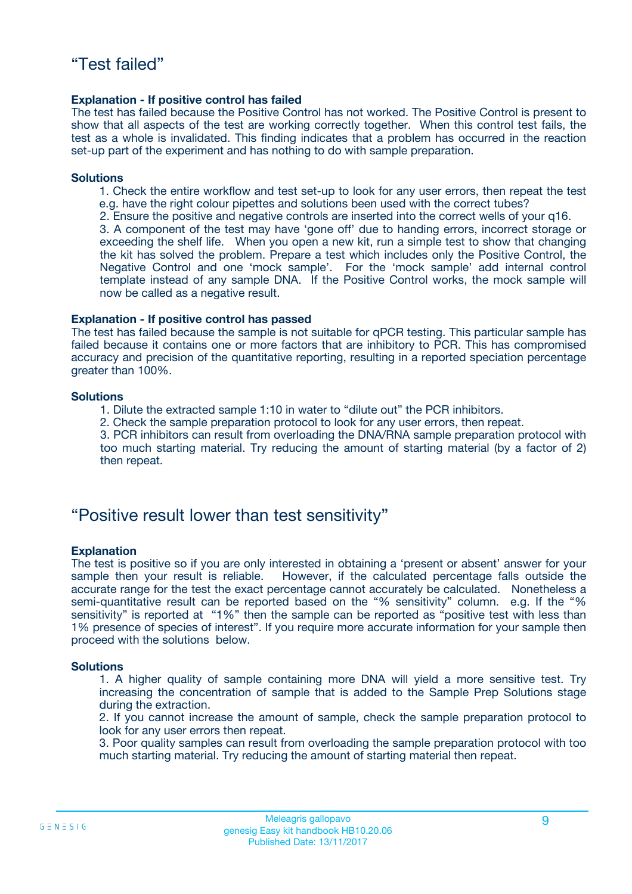#### **Explanation - If positive control has failed**

The test has failed because the Positive Control has not worked. The Positive Control is present to show that all aspects of the test are working correctly together. When this control test fails, the test as a whole is invalidated. This finding indicates that a problem has occurred in the reaction set-up part of the experiment and has nothing to do with sample preparation.

#### **Solutions**

- 1. Check the entire workflow and test set-up to look for any user errors, then repeat the test e.g. have the right colour pipettes and solutions been used with the correct tubes?
- 2. Ensure the positive and negative controls are inserted into the correct wells of your q16.

3. A component of the test may have 'gone off' due to handing errors, incorrect storage or exceeding the shelf life. When you open a new kit, run a simple test to show that changing the kit has solved the problem. Prepare a test which includes only the Positive Control, the Negative Control and one 'mock sample'. For the 'mock sample' add internal control template instead of any sample DNA. If the Positive Control works, the mock sample will now be called as a negative result.

#### **Explanation - If positive control has passed**

The test has failed because the sample is not suitable for qPCR testing. This particular sample has failed because it contains one or more factors that are inhibitory to PCR. This has compromised accuracy and precision of the quantitative reporting, resulting in a reported speciation percentage greater than 100%.

#### **Solutions**

- 1. Dilute the extracted sample 1:10 in water to "dilute out" the PCR inhibitors.
- 2. Check the sample preparation protocol to look for any user errors, then repeat.

3. PCR inhibitors can result from overloading the DNA/RNA sample preparation protocol with too much starting material. Try reducing the amount of starting material (by a factor of 2) then repeat.

### "Positive result lower than test sensitivity"

#### **Explanation**

The test is positive so if you are only interested in obtaining a 'present or absent' answer for your sample then your result is reliable. However, if the calculated percentage falls outside the accurate range for the test the exact percentage cannot accurately be calculated. Nonetheless a semi-quantitative result can be reported based on the "% sensitivity" column. e.g. If the "% sensitivity" is reported at "1%" then the sample can be reported as "positive test with less than 1% presence of species of interest". If you require more accurate information for your sample then proceed with the solutions below.

#### **Solutions**

1. A higher quality of sample containing more DNA will yield a more sensitive test. Try increasing the concentration of sample that is added to the Sample Prep Solutions stage during the extraction.

2. If you cannot increase the amount of sample, check the sample preparation protocol to look for any user errors then repeat.

3. Poor quality samples can result from overloading the sample preparation protocol with too much starting material. Try reducing the amount of starting material then repeat.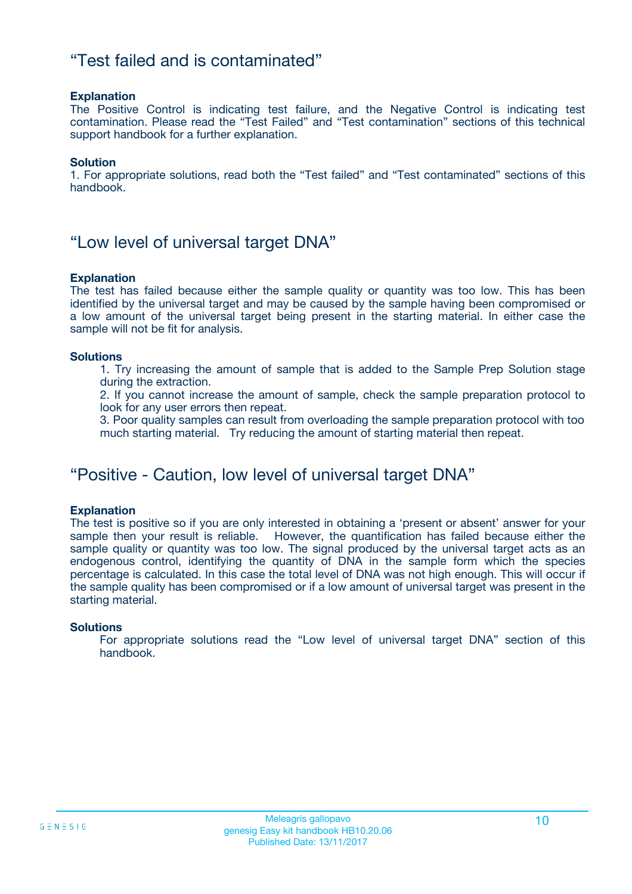### "Test failed and is contaminated"

#### **Explanation**

The Positive Control is indicating test failure, and the Negative Control is indicating test contamination. Please read the "Test Failed" and "Test contamination" sections of this technical support handbook for a further explanation.

#### **Solution**

1. For appropriate solutions, read both the "Test failed" and "Test contaminated" sections of this handbook.

### "Low level of universal target DNA"

#### **Explanation**

The test has failed because either the sample quality or quantity was too low. This has been identified by the universal target and may be caused by the sample having been compromised or a low amount of the universal target being present in the starting material. In either case the sample will not be fit for analysis.

#### **Solutions**

1. Try increasing the amount of sample that is added to the Sample Prep Solution stage during the extraction.

2. If you cannot increase the amount of sample, check the sample preparation protocol to look for any user errors then repeat.

3. Poor quality samples can result from overloading the sample preparation protocol with too much starting material. Try reducing the amount of starting material then repeat.

### "Positive - Caution, low level of universal target DNA"

#### **Explanation**

The test is positive so if you are only interested in obtaining a 'present or absent' answer for your sample then your result is reliable. However, the quantification has failed because either the sample quality or quantity was too low. The signal produced by the universal target acts as an endogenous control, identifying the quantity of DNA in the sample form which the species percentage is calculated. In this case the total level of DNA was not high enough. This will occur if the sample quality has been compromised or if a low amount of universal target was present in the starting material.

#### **Solutions**

For appropriate solutions read the "Low level of universal target DNA" section of this handbook.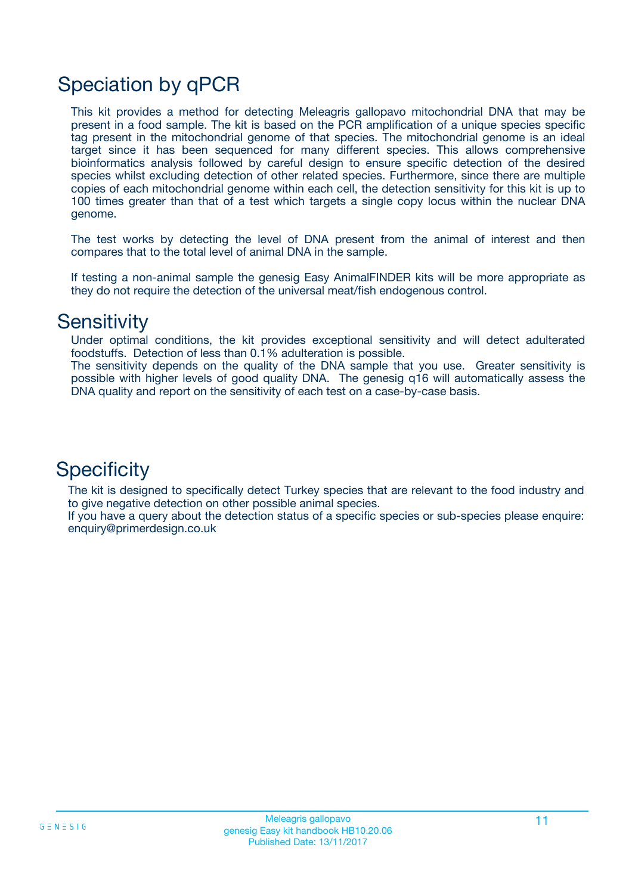# Speciation by qPCR

This kit provides a method for detecting Meleagris gallopavo mitochondrial DNA that may be present in a food sample. The kit is based on the PCR amplification of a unique species specific tag present in the mitochondrial genome of that species. The mitochondrial genome is an ideal target since it has been sequenced for many different species. This allows comprehensive bioinformatics analysis followed by careful design to ensure specific detection of the desired species whilst excluding detection of other related species. Furthermore, since there are multiple copies of each mitochondrial genome within each cell, the detection sensitivity for this kit is up to 100 times greater than that of a test which targets a single copy locus within the nuclear DNA genome.

The test works by detecting the level of DNA present from the animal of interest and then compares that to the total level of animal DNA in the sample.

If testing a non-animal sample the genesig Easy AnimalFINDER kits will be more appropriate as they do not require the detection of the universal meat/fish endogenous control.

### **Sensitivity**

Under optimal conditions, the kit provides exceptional sensitivity and will detect adulterated foodstuffs. Detection of less than 0.1% adulteration is possible.

The sensitivity depends on the quality of the DNA sample that you use. Greater sensitivity is possible with higher levels of good quality DNA. The genesig q16 will automatically assess the DNA quality and report on the sensitivity of each test on a case-by-case basis.

### **Specificity**

The kit is designed to specifically detect Turkey species that are relevant to the food industry and to give negative detection on other possible animal species.

If you have a query about the detection status of a specific species or sub-species please enquire: enquiry@primerdesign.co.uk